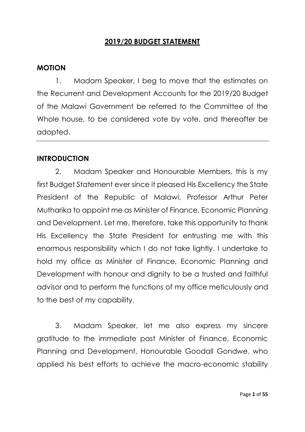# **2019/20 BUDGET STATEMENT**

#### **MOTION**

1. Madam Speaker, I beg to move that the estimates on the Recurrent and Development Accounts for the 2019/20 Budget of the Malawi Government be referred to the Committee of the Whole house, to be considered vote by vote, and thereafter be adopted.

#### **INTRODUCTION**

2. Madam Speaker and Honourable Members, this is my first Budget Statement ever since it pleased His Excellency the State President of the Republic of Malawi, Professor Arthur Peter Mutharika to appoint me as Minister of Finance, Economic Planning and Development. Let me, therefore, take this opportunity to thank His Excellency the State President for entrusting me with this enormous responsibility which I do not take lightly. I undertake to hold my office as Minister of Finance, Economic Planning and Development with honour and dignity to be a trusted and faithful advisor and to perform the functions of my office meticulously and to the best of my capability.

3. Madam Speaker, let me also express my sincere gratitude to the immediate past Minister of Finance, Economic Planning and Development, Honourable Goodall Gondwe, who applied his best efforts to achieve the macro-economic stability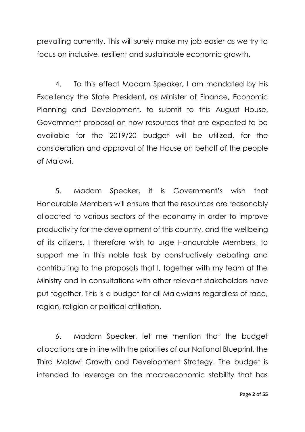prevailing currently. This will surely make my job easier as we try to focus on inclusive, resilient and sustainable economic growth.

4. To this effect Madam Speaker, I am mandated by His Excellency the State President, as Minister of Finance, Economic Planning and Development, to submit to this August House, Government proposal on how resources that are expected to be available for the 2019/20 budget will be utilized, for the consideration and approval of the House on behalf of the people of Malawi.

5. Madam Speaker, it is Government's wish that Honourable Members will ensure that the resources are reasonably allocated to various sectors of the economy in order to improve productivity for the development of this country, and the wellbeing of its citizens. I therefore wish to urge Honourable Members, to support me in this noble task by constructively debating and contributing to the proposals that I, together with my team at the Ministry and in consultations with other relevant stakeholders have put together. This is a budget for all Malawians regardless of race, region, religion or political affiliation.

6. Madam Speaker, let me mention that the budget allocations are in line with the priorities of our National Blueprint, the Third Malawi Growth and Development Strategy. The budget is intended to leverage on the macroeconomic stability that has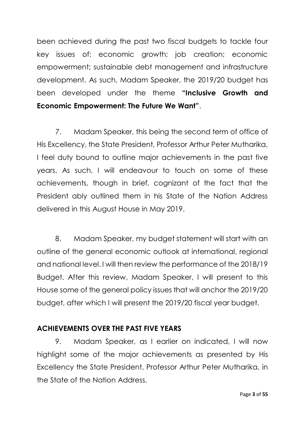been achieved during the past two fiscal budgets to tackle four key issues of: economic growth; job creation; economic empowerment; sustainable debt management and infrastructure development. As such, Madam Speaker, the 2019/20 budget has been developed under the theme **"Inclusive Growth and Economic Empowerment: The Future We Want"**.

7. Madam Speaker, this being the second term of office of His Excellency, the State President, Professor Arthur Peter Mutharika, I feel duty bound to outline major achievements in the past five years. As such, I will endeavour to touch on some of these achievements, though in brief, cognizant of the fact that the President ably outlined them in his State of the Nation Address delivered in this August House in May 2019.

8. Madam Speaker, my budget statement will start with an outline of the general economic outlook at international, regional and national level. I will then review the performance of the 2018/19 Budget. After this review, Madam Speaker, I will present to this House some of the general policy issues that will anchor the 2019/20 budget, after which I will present the 2019/20 fiscal year budget.

# **ACHIEVEMENTS OVER THE PAST FIVE YEARS**

9. Madam Speaker, as I earlier on indicated, I will now highlight some of the major achievements as presented by His Excellency the State President, Professor Arthur Peter Mutharika, in the State of the Nation Address.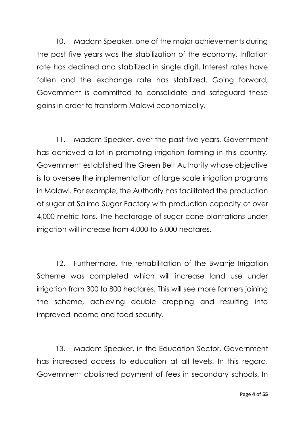10. Madam Speaker, one of the major achievements during the past five years was the stabilization of the economy. Inflation rate has declined and stabilized in single digit. Interest rates have fallen and the exchange rate has stabilized. Going forward, Government is committed to consolidate and safeguard these gains in order to transform Malawi economically.

11. Madam Speaker, over the past five years, Government has achieved a lot in promoting irrigation farming in this country. Government established the Green Belt Authority whose objective is to oversee the implementation of large scale irrigation programs in Malawi. For example, the Authority has facilitated the production of sugar at Salima Sugar Factory with production capacity of over 4,000 metric tons. The hectarage of sugar cane plantations under irrigation will increase from 4,000 to 6,000 hectares.

12. Furthermore, the rehabilitation of the Bwanje Irrigation Scheme was completed which will increase land use under irrigation from 300 to 800 hectares. This will see more farmers joining the scheme, achieving double cropping and resulting into improved income and food security.

13. Madam Speaker, in the Education Sector, Government has increased access to education at all levels. In this regard, Government abolished payment of fees in secondary schools. In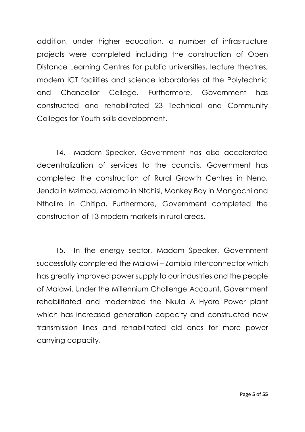addition, under higher education, a number of infrastructure projects were completed including the construction of Open Distance Learning Centres for public universities, lecture theatres, modern ICT facilities and science laboratories at the Polytechnic and Chancellor College. Furthermore, Government has constructed and rehabilitated 23 Technical and Community Colleges for Youth skills development.

14. Madam Speaker, Government has also accelerated decentralization of services to the councils. Government has completed the construction of Rural Growth Centres in Neno, Jenda in Mzimba, Malomo in Ntchisi, Monkey Bay in Mangochi and Nthalire in Chitipa. Furthermore, Government completed the construction of 13 modern markets in rural areas.

15. In the energy sector, Madam Speaker, Government successfully completed the Malawi – Zambia Interconnector which has greatly improved power supply to our industries and the people of Malawi. Under the Millennium Challenge Account, Government rehabilitated and modernized the Nkula A Hydro Power plant which has increased generation capacity and constructed new transmission lines and rehabilitated old ones for more power carrying capacity.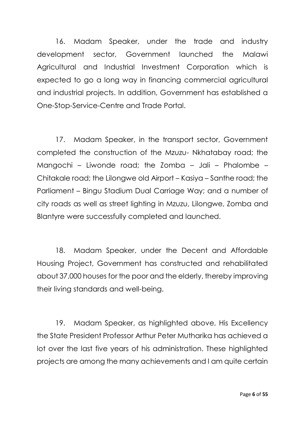16. Madam Speaker, under the trade and industry development sector, Government launched the Malawi Agricultural and Industrial Investment Corporation which is expected to go a long way in financing commercial agricultural and industrial projects. In addition, Government has established a One-Stop-Service-Centre and Trade Portal.

17. Madam Speaker, in the transport sector, Government completed the construction of the Mzuzu- Nkhatabay road; the Mangochi – Liwonde road; the Zomba – Jali – Phalombe – Chitakale road; the Lilongwe old Airport – Kasiya – Santhe road; the Parliament – Bingu Stadium Dual Carriage Way; and a number of city roads as well as street lighting in Mzuzu, Lilongwe, Zomba and Blantyre were successfully completed and launched.

18. Madam Speaker, under the Decent and Affordable Housing Project, Government has constructed and rehabilitated about 37,000 houses for the poor and the elderly, thereby improving their living standards and well-being.

19. Madam Speaker, as highlighted above, His Excellency the State President Professor Arthur Peter Mutharika has achieved a lot over the last five years of his administration. These highlighted projects are among the many achievements and I am quite certain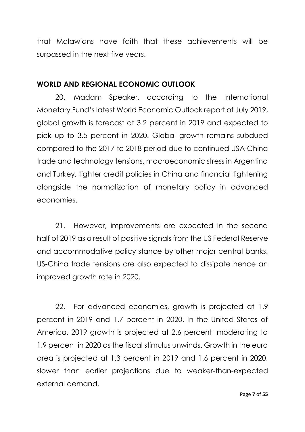that Malawians have faith that these achievements will be surpassed in the next five years.

# **WORLD AND REGIONAL ECONOMIC OUTLOOK**

20. Madam Speaker, according to the International Monetary Fund's latest World Economic Outlook report of July 2019, global growth is forecast at 3.2 percent in 2019 and expected to pick up to 3.5 percent in 2020. Global growth remains subdued compared to the 2017 to 2018 period due to continued USA-China trade and technology tensions, macroeconomic stress in Argentina and Turkey, tighter credit policies in China and financial tightening alongside the normalization of monetary policy in advanced economies.

21. However, improvements are expected in the second half of 2019 as a result of positive signals from the US Federal Reserve and accommodative policy stance by other major central banks. US-China trade tensions are also expected to dissipate hence an improved growth rate in 2020.

22. For advanced economies, growth is projected at 1.9 percent in 2019 and 1.7 percent in 2020. In the United States of America, 2019 growth is projected at 2.6 percent, moderating to 1.9 percent in 2020 as the fiscal stimulus unwinds. Growth in the euro area is projected at 1.3 percent in 2019 and 1.6 percent in 2020, slower than earlier projections due to weaker-than-expected external demand.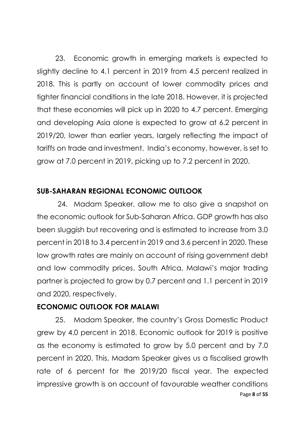23. Economic growth in emerging markets is expected to slightly decline to 4.1 percent in 2019 from 4.5 percent realized in 2018. This is partly on account of lower commodity prices and tighter financial conditions in the late 2018. However, it is projected that these economies will pick up in 2020 to 4.7 percent. Emerging and developing Asia alone is expected to grow at 6.2 percent in 2019/20, lower than earlier years, largely reflecting the impact of tariffs on trade and investment. India's economy, however, is set to grow at 7.0 percent in 2019, picking up to 7.2 percent in 2020.

# **SUB-SAHARAN REGIONAL ECONOMIC OUTLOOK**

24. Madam Speaker, allow me to also give a snapshot on the economic outlook for Sub-Saharan Africa. GDP growth has also been sluggish but recovering and is estimated to increase from 3.0 percent in 2018 to 3.4 percent in 2019 and 3.6 percent in 2020. These low growth rates are mainly on account of rising government debt and low commodity prices. South Africa, Malawi's major trading partner is projected to grow by 0.7 percent and 1.1 percent in 2019 and 2020, respectively.

## **ECONOMIC OUTLOOK FOR MALAWI**

Page **8** of **55** 25. Madam Speaker, the country's Gross Domestic Product grew by 4.0 percent in 2018. Economic outlook for 2019 is positive as the economy is estimated to grow by 5.0 percent and by 7.0 percent in 2020. This, Madam Speaker gives us a fiscalised growth rate of 6 percent for the 2019/20 fiscal year. The expected impressive growth is on account of favourable weather conditions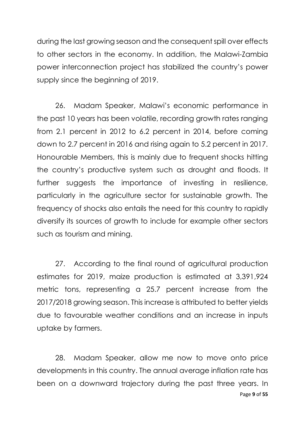during the last growing season and the consequent spill over effects to other sectors in the economy. In addition, the Malawi-Zambia power interconnection project has stabilized the country's power supply since the beginning of 2019.

26. Madam Speaker, Malawi's economic performance in the past 10 years has been volatile, recording growth rates ranging from 2.1 percent in 2012 to 6.2 percent in 2014, before coming down to 2.7 percent in 2016 and rising again to 5.2 percent in 2017. Honourable Members, this is mainly due to frequent shocks hitting the country's productive system such as drought and floods. It further suggests the importance of investing in resilience, particularly in the agriculture sector for sustainable growth. The frequency of shocks also entails the need for this country to rapidly diversify its sources of growth to include for example other sectors such as tourism and mining.

27. According to the final round of agricultural production estimates for 2019, maize production is estimated at 3,391,924 metric tons, representing a 25.7 percent increase from the 2017/2018 growing season. This increase is attributed to better yields due to favourable weather conditions and an increase in inputs uptake by farmers.

Page **9** of **55** 28. Madam Speaker, allow me now to move onto price developments in this country. The annual average inflation rate has been on a downward trajectory during the past three years. In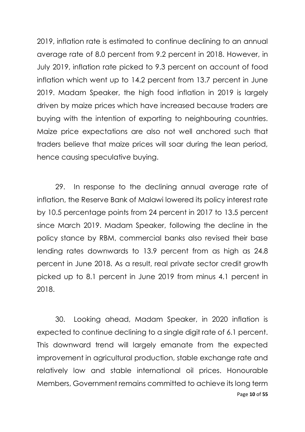2019, inflation rate is estimated to continue declining to an annual average rate of 8.0 percent from 9.2 percent in 2018. However, in July 2019, inflation rate picked to 9.3 percent on account of food inflation which went up to 14.2 percent from 13.7 percent in June 2019. Madam Speaker, the high food inflation in 2019 is largely driven by maize prices which have increased because traders are buying with the intention of exporting to neighbouring countries. Maize price expectations are also not well anchored such that traders believe that maize prices will soar during the lean period, hence causing speculative buying.

29. In response to the declining annual average rate of inflation, the Reserve Bank of Malawi lowered its policy interest rate by 10.5 percentage points from 24 percent in 2017 to 13.5 percent since March 2019. Madam Speaker, following the decline in the policy stance by RBM, commercial banks also revised their base lending rates downwards to 13.9 percent from as high as 24.8 percent in June 2018. As a result, real private sector credit growth picked up to 8.1 percent in June 2019 from minus 4.1 percent in 2018.

Page **10** of **55** 30. Looking ahead, Madam Speaker, in 2020 inflation is expected to continue declining to a single digit rate of 6.1 percent. This downward trend will largely emanate from the expected improvement in agricultural production, stable exchange rate and relatively low and stable international oil prices. Honourable Members, Government remains committed to achieve its long term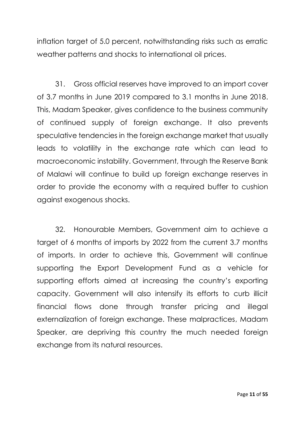inflation target of 5.0 percent, notwithstanding risks such as erratic weather patterns and shocks to international oil prices.

31. Gross official reserves have improved to an import cover of 3.7 months in June 2019 compared to 3.1 months in June 2018. This, Madam Speaker, gives confidence to the business community of continued supply of foreign exchange. It also prevents speculative tendencies in the foreign exchange market that usually leads to volatility in the exchange rate which can lead to macroeconomic instability. Government, through the Reserve Bank of Malawi will continue to build up foreign exchange reserves in order to provide the economy with a required buffer to cushion against exogenous shocks.

32. Honourable Members, Government aim to achieve a target of 6 months of imports by 2022 from the current 3.7 months of imports. In order to achieve this, Government will continue supporting the Export Development Fund as a vehicle for supporting efforts aimed at increasing the country's exporting capacity. Government will also intensify its efforts to curb illicit financial flows done through transfer pricing and illegal externalization of foreign exchange. These malpractices, Madam Speaker, are depriving this country the much needed foreign exchange from its natural resources.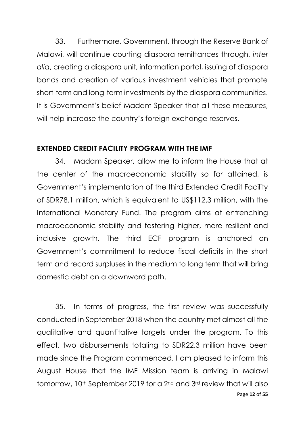33. Furthermore, Government, through the Reserve Bank of Malawi, will continue courting diaspora remittances through, *inter alia*, creating a diaspora unit, information portal, issuing of diaspora bonds and creation of various investment vehicles that promote short-term and long-term investments by the diaspora communities. It is Government's belief Madam Speaker that all these measures, will help increase the country's foreign exchange reserves.

# **EXTENDED CREDIT FACILITY PROGRAM WITH THE IMF**

34. Madam Speaker, allow me to inform the House that at the center of the macroeconomic stability so far attained, is Government's implementation of the third Extended Credit Facility of SDR78.1 million, which is equivalent to US\$112.3 million, with the International Monetary Fund. The program aims at entrenching macroeconomic stability and fostering higher, more resilient and inclusive growth. The third ECF program is anchored on Government's commitment to reduce fiscal deficits in the short term and record surpluses in the medium to long term that will bring domestic debt on a downward path.

Page **12** of **55** 35. In terms of progress, the first review was successfully conducted in September 2018 when the country met almost all the qualitative and quantitative targets under the program. To this effect, two disbursements totaling to SDR22.3 million have been made since the Program commenced. I am pleased to inform this August House that the IMF Mission team is arriving in Malawi tomorrow, 10<sup>th</sup> September 2019 for a 2<sup>nd</sup> and 3<sup>rd</sup> review that will also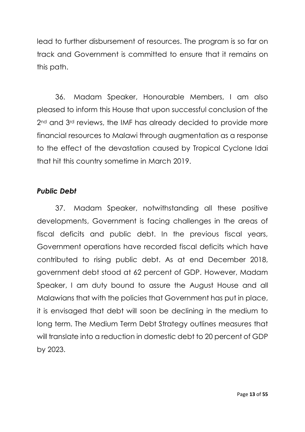lead to further disbursement of resources. The program is so far on track and Government is committed to ensure that it remains on this path.

36. Madam Speaker, Honourable Members, I am also pleased to inform this House that upon successful conclusion of the 2<sup>nd</sup> and 3<sup>rd</sup> reviews, the IMF has already decided to provide more financial resources to Malawi through augmentation as a response to the effect of the devastation caused by Tropical Cyclone Idai that hit this country sometime in March 2019.

## *Public Debt*

37. Madam Speaker, notwithstanding all these positive developments, Government is facing challenges in the areas of fiscal deficits and public debt. In the previous fiscal years, Government operations have recorded fiscal deficits which have contributed to rising public debt. As at end December 2018, government debt stood at 62 percent of GDP. However, Madam Speaker, I am duty bound to assure the August House and all Malawians that with the policies that Government has put in place, it is envisaged that debt will soon be declining in the medium to long term. The Medium Term Debt Strategy outlines measures that will translate into a reduction in domestic debt to 20 percent of GDP by 2023.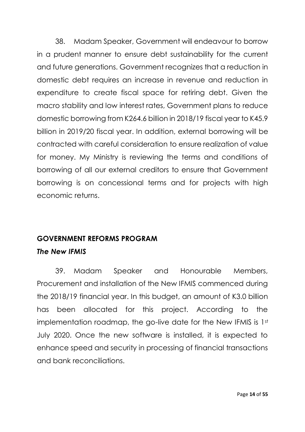38. Madam Speaker, Government will endeavour to borrow in a prudent manner to ensure debt sustainability for the current and future generations. Government recognizes that a reduction in domestic debt requires an increase in revenue and reduction in expenditure to create fiscal space for retiring debt. Given the macro stability and low interest rates, Government plans to reduce domestic borrowing from K264.6 billion in 2018/19 fiscal year to K45.9 billion in 2019/20 fiscal year. In addition, external borrowing will be contracted with careful consideration to ensure realization of value for money. My Ministry is reviewing the terms and conditions of borrowing of all our external creditors to ensure that Government borrowing is on concessional terms and for projects with high economic returns.

# **GOVERNMENT REFORMS PROGRAM**

# *The New IFMIS*

39. Madam Speaker and Honourable Members, Procurement and installation of the New IFMIS commenced during the 2018/19 financial year. In this budget, an amount of K3.0 billion has been allocated for this project. According to the implementation roadmap, the go-live date for the New IFMIS is 1st July 2020. Once the new software is installed, it is expected to enhance speed and security in processing of financial transactions and bank reconciliations.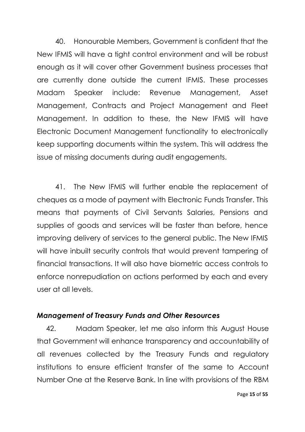40. Honourable Members, Government is confident that the New IFMIS will have a tight control environment and will be robust enough as it will cover other Government business processes that are currently done outside the current IFMIS. These processes Madam Speaker include: Revenue Management, Asset Management, Contracts and Project Management and Fleet Management. In addition to these, the New IFMIS will have Electronic Document Management functionality to electronically keep supporting documents within the system. This will address the issue of missing documents during audit engagements.

41. The New IFMIS will further enable the replacement of cheques as a mode of payment with Electronic Funds Transfer. This means that payments of Civil Servants Salaries, Pensions and supplies of goods and services will be faster than before, hence improving delivery of services to the general public. The New IFMIS will have inbuilt security controls that would prevent tampering of financial transactions. It will also have biometric access controls to enforce nonrepudiation on actions performed by each and every user at all levels.

## *Management of Treasury Funds and Other Resources*

42. Madam Speaker, let me also inform this August House that Government will enhance transparency and accountability of all revenues collected by the Treasury Funds and regulatory institutions to ensure efficient transfer of the same to Account Number One at the Reserve Bank. In line with provisions of the RBM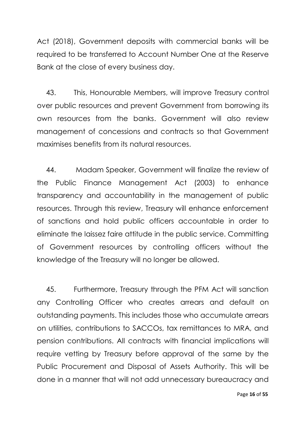Act (2018), Government deposits with commercial banks will be required to be transferred to Account Number One at the Reserve Bank at the close of every business day.

43. This, Honourable Members, will improve Treasury control over public resources and prevent Government from borrowing its own resources from the banks. Government will also review management of concessions and contracts so that Government maximises benefits from its natural resources.

44. Madam Speaker, Government will finalize the review of the Public Finance Management Act (2003) to enhance transparency and accountability in the management of public resources. Through this review, Treasury will enhance enforcement of sanctions and hold public officers accountable in order to eliminate the laissez faire attitude in the public service. Committing of Government resources by controlling officers without the knowledge of the Treasury will no longer be allowed.

45. Furthermore, Treasury through the PFM Act will sanction any Controlling Officer who creates arrears and default on outstanding payments. This includes those who accumulate arrears on utilities, contributions to SACCOs, tax remittances to MRA, and pension contributions. All contracts with financial implications will require vetting by Treasury before approval of the same by the Public Procurement and Disposal of Assets Authority. This will be done in a manner that will not add unnecessary bureaucracy and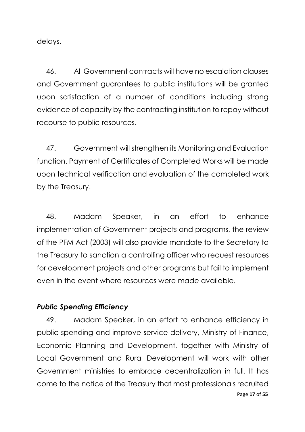delays.

46. All Government contracts will have no escalation clauses and Government guarantees to public institutions will be granted upon satisfaction of a number of conditions including strong evidence of capacity by the contracting institution to repay without recourse to public resources.

47. Government will strengthen its Monitoring and Evaluation function. Payment of Certificates of Completed Works will be made upon technical verification and evaluation of the completed work by the Treasury.

48. Madam Speaker, in an effort to enhance implementation of Government projects and programs, the review of the PFM Act (2003) will also provide mandate to the Secretary to the Treasury to sanction a controlling officer who request resources for development projects and other programs but fail to implement even in the event where resources were made available.

## *Public Spending Efficiency*

Page **17** of **55** 49. Madam Speaker, in an effort to enhance efficiency in public spending and improve service delivery, Ministry of Finance, Economic Planning and Development, together with Ministry of Local Government and Rural Development will work with other Government ministries to embrace decentralization in full. It has come to the notice of the Treasury that most professionals recruited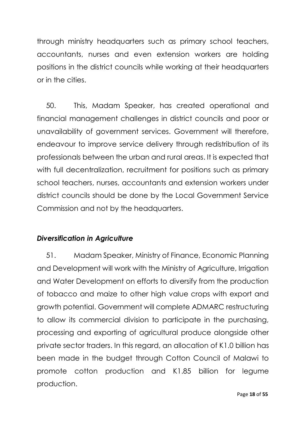through ministry headquarters such as primary school teachers, accountants, nurses and even extension workers are holding positions in the district councils while working at their headquarters or in the cities.

50. This, Madam Speaker, has created operational and financial management challenges in district councils and poor or unavailability of government services. Government will therefore, endeavour to improve service delivery through redistribution of its professionals between the urban and rural areas. It is expected that with full decentralization, recruitment for positions such as primary school teachers, nurses, accountants and extension workers under district councils should be done by the Local Government Service Commission and not by the headquarters.

# *Diversification in Agriculture*

51. Madam Speaker, Ministry of Finance, Economic Planning and Development will work with the Ministry of Agriculture, Irrigation and Water Development on efforts to diversify from the production of tobacco and maize to other high value crops with export and growth potential. Government will complete ADMARC restructuring to allow its commercial division to participate in the purchasing, processing and exporting of agricultural produce alongside other private sector traders. In this regard, an allocation of K1.0 billion has been made in the budget through Cotton Council of Malawi to promote cotton production and K1.85 billion for legume production.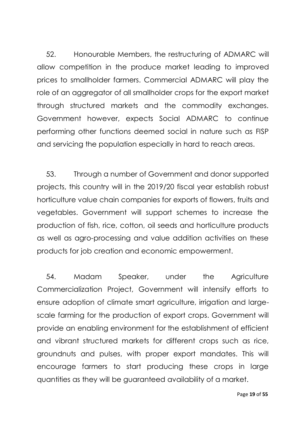52. Honourable Members, the restructuring of ADMARC will allow competition in the produce market leading to improved prices to smallholder farmers. Commercial ADMARC will play the role of an aggregator of all smallholder crops for the export market through structured markets and the commodity exchanges. Government however, expects Social ADMARC to continue performing other functions deemed social in nature such as FISP and servicing the population especially in hard to reach areas.

53. Through a number of Government and donor supported projects, this country will in the 2019/20 fiscal year establish robust horticulture value chain companies for exports of flowers, fruits and vegetables. Government will support schemes to increase the production of fish, rice, cotton, oil seeds and horticulture products as well as agro-processing and value addition activities on these products for job creation and economic empowerment.

54. Madam Speaker, under the Agriculture Commercialization Project, Government will intensify efforts to ensure adoption of climate smart agriculture, irrigation and largescale farming for the production of export crops. Government will provide an enabling environment for the establishment of efficient and vibrant structured markets for different crops such as rice, groundnuts and pulses, with proper export mandates. This will encourage farmers to start producing these crops in large quantities as they will be guaranteed availability of a market.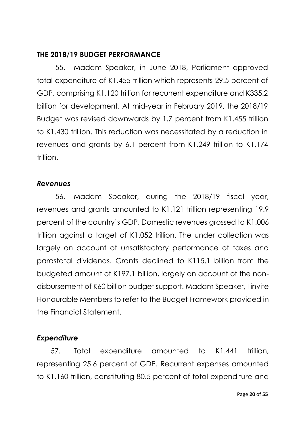## **THE 2018/19 BUDGET PERFORMANCE**

55. Madam Speaker, in June 2018, Parliament approved total expenditure of K1.455 trillion which represents 29.5 percent of GDP, comprising K1.120 trillion for recurrent expenditure and K335.2 billion for development. At mid-year in February 2019, the 2018/19 Budget was revised downwards by 1.7 percent from K1.455 trillion to K1.430 trillion. This reduction was necessitated by a reduction in revenues and grants by 6.1 percent from K1.249 trillion to K1.174 trillion.

## *Revenues*

56. Madam Speaker, during the 2018/19 fiscal year, revenues and grants amounted to K1.121 trillion representing 19.9 percent of the country's GDP. Domestic revenues grossed to K1.006 trillion against a target of K1.052 trillion. The under collection was largely on account of unsatisfactory performance of taxes and parastatal dividends. Grants declined to K115.1 billion from the budgeted amount of K197.1 billion, largely on account of the nondisbursement of K60 billion budget support. Madam Speaker, I invite Honourable Members to refer to the Budget Framework provided in the Financial Statement.

# *Expenditure*

57. Total expenditure amounted to K1.441 trillion, representing 25.6 percent of GDP. Recurrent expenses amounted to K1.160 trillion, constituting 80.5 percent of total expenditure and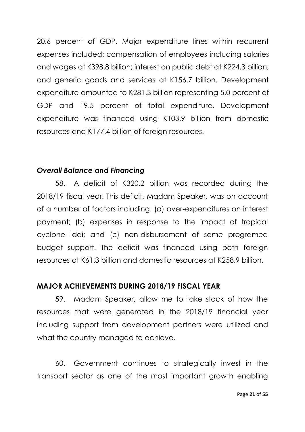20.6 percent of GDP. Major expenditure lines within recurrent expenses included: compensation of employees including salaries and wages at K398.8 billion; interest on public debt at K224.3 billion; and generic goods and services at K156.7 billion. Development expenditure amounted to K281.3 billion representing 5.0 percent of GDP and 19.5 percent of total expenditure. Development expenditure was financed using K103.9 billion from domestic resources and K177.4 billion of foreign resources.

## *Overall Balance and Financing*

58. A deficit of K320.2 billion was recorded during the 2018/19 fiscal year. This deficit, Madam Speaker, was on account of a number of factors including: (a) over-expenditures on interest payment; (b) expenses in response to the impact of tropical cyclone Idai; and (c) non-disbursement of some programed budget support. The deficit was financed using both foreign resources at K61.3 billion and domestic resources at K258.9 billion.

# **MAJOR ACHIEVEMENTS DURING 2018/19 FISCAL YEAR**

59. Madam Speaker, allow me to take stock of how the resources that were generated in the 2018/19 financial year including support from development partners were utilized and what the country managed to achieve.

60. Government continues to strategically invest in the transport sector as one of the most important growth enabling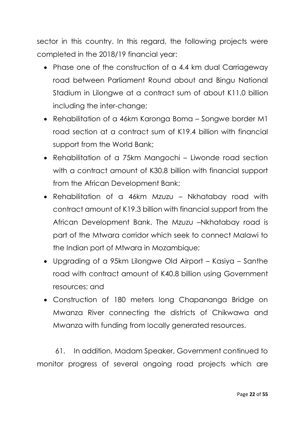sector in this country. In this regard, the following projects were completed in the 2018/19 financial year:

- Phase one of the construction of a 4.4 km dual Carriageway road between Parliament Round about and Bingu National Stadium in Lilongwe at a contract sum of about K11.0 billion including the inter-change;
- Rehabilitation of a 46km Karonga Boma Songwe border M1 road section at a contract sum of K19.4 billion with financial support from the World Bank;
- Rehabilitation of a 75km Mangochi Liwonde road section with a contract amount of K30.8 billion with financial support from the African Development Bank;
- Rehabilitation of a 46km Mzuzu Nkhatabay road with contract amount of K19.3 billion with financial support from the African Development Bank. The Mzuzu –Nkhatabay road is part of the Mtwara corridor which seek to connect Malawi to the Indian port of Mtwara in Mozambique;
- Upgrading of a 95km Lilongwe Old Airport Kasiya Santhe road with contract amount of K40.8 billion using Government resources; and
- Construction of 180 meters long Chapananga Bridge on Mwanza River connecting the districts of Chikwawa and Mwanza with funding from locally generated resources.

61. In addition, Madam Speaker, Government continued to monitor progress of several ongoing road projects which are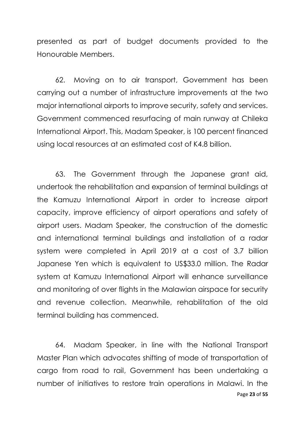presented as part of budget documents provided to the Honourable Members.

62. Moving on to air transport, Government has been carrying out a number of infrastructure improvements at the two major international airports to improve security, safety and services. Government commenced resurfacing of main runway at Chileka International Airport. This, Madam Speaker, is 100 percent financed using local resources at an estimated cost of K4.8 billion.

63. The Government through the Japanese grant aid, undertook the rehabilitation and expansion of terminal buildings at the Kamuzu International Airport in order to increase airport capacity, improve efficiency of airport operations and safety of airport users. Madam Speaker, the construction of the domestic and international terminal buildings and installation of a radar system were completed in April 2019 at a cost of 3.7 billion Japanese Yen which is equivalent to US\$33.0 million. The Radar system at Kamuzu International Airport will enhance surveillance and monitoring of over flights in the Malawian airspace for security and revenue collection. Meanwhile, rehabilitation of the old terminal building has commenced.

Page **23** of **55** 64. Madam Speaker, in line with the National Transport Master Plan which advocates shifting of mode of transportation of cargo from road to rail, Government has been undertaking a number of initiatives to restore train operations in Malawi. In the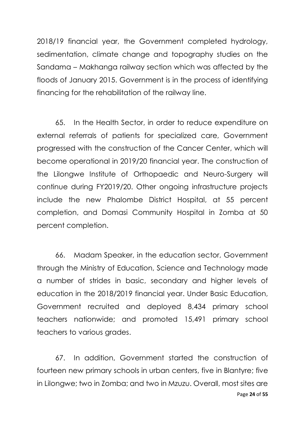2018/19 financial year, the Government completed hydrology, sedimentation, climate change and topography studies on the Sandama – Makhanga railway section which was affected by the floods of January 2015. Government is in the process of identifying financing for the rehabilitation of the railway line.

65. In the Health Sector, in order to reduce expenditure on external referrals of patients for specialized care, Government progressed with the construction of the Cancer Center, which will become operational in 2019/20 financial year. The construction of the Lilongwe Institute of Orthopaedic and Neuro-Surgery will continue during FY2019/20. Other ongoing infrastructure projects include the new Phalombe District Hospital, at 55 percent completion, and Domasi Community Hospital in Zomba at 50 percent completion.

66. Madam Speaker, in the education sector, Government through the Ministry of Education, Science and Technology made a number of strides in basic, secondary and higher levels of education in the 2018/2019 financial year. Under Basic Education, Government recruited and deployed 8,434 primary school teachers nationwide; and promoted 15,491 primary school teachers to various grades.

Page **24** of **55** 67. In addition, Government started the construction of fourteen new primary schools in urban centers, five in Blantyre; five in Lilongwe; two in Zomba; and two in Mzuzu. Overall, most sites are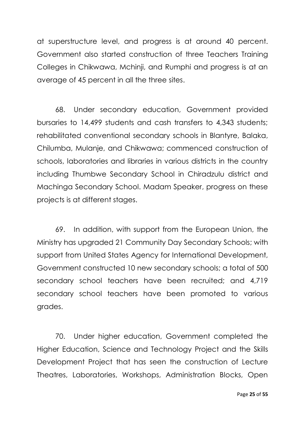at superstructure level, and progress is at around 40 percent. Government also started construction of three Teachers Training Colleges in Chikwawa, Mchinji, and Rumphi and progress is at an average of 45 percent in all the three sites.

68. Under secondary education, Government provided bursaries to 14,499 students and cash transfers to 4,343 students; rehabilitated conventional secondary schools in Blantyre, Balaka, Chilumba, Mulanje, and Chikwawa; commenced construction of schools, laboratories and libraries in various districts in the country including Thumbwe Secondary School in Chiradzulu district and Machinga Secondary School. Madam Speaker, progress on these projects is at different stages.

69. In addition, with support from the European Union, the Ministry has upgraded 21 Community Day Secondary Schools; with support from United States Agency for International Development, Government constructed 10 new secondary schools; a total of 500 secondary school teachers have been recruited; and 4,719 secondary school teachers have been promoted to various grades.

70. Under higher education, Government completed the Higher Education, Science and Technology Project and the Skills Development Project that has seen the construction of Lecture Theatres, Laboratories, Workshops, Administration Blocks, Open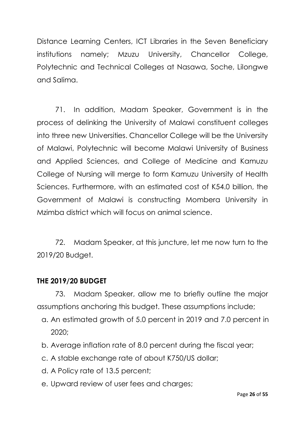Distance Learning Centers, ICT Libraries in the Seven Beneficiary institutions namely; Mzuzu University, Chancellor College, Polytechnic and Technical Colleges at Nasawa, Soche, Lilongwe and Salima.

71. In addition, Madam Speaker, Government is in the process of delinking the University of Malawi constituent colleges into three new Universities. Chancellor College will be the University of Malawi, Polytechnic will become Malawi University of Business and Applied Sciences, and College of Medicine and Kamuzu College of Nursing will merge to form Kamuzu University of Health Sciences. Furthermore, with an estimated cost of K54.0 billion, the Government of Malawi is constructing Mombera University in Mzimba district which will focus on animal science.

72. Madam Speaker, at this juncture, let me now turn to the 2019/20 Budget.

# **THE 2019/20 BUDGET**

73. Madam Speaker, allow me to briefly outline the major assumptions anchoring this budget. These assumptions include;

- a. An estimated growth of 5.0 percent in 2019 and 7.0 percent in 2020;
- b. Average inflation rate of 8.0 percent during the fiscal year;
- c. A stable exchange rate of about K750/US dollar;
- d. A Policy rate of 13.5 percent;
- e. Upward review of user fees and charges;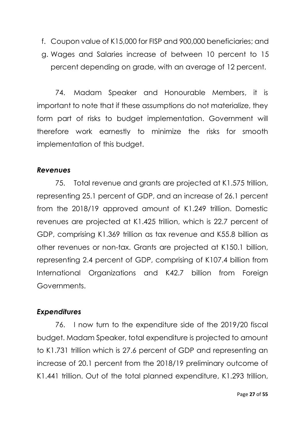- f. Coupon value of K15,000 for FISP and 900,000 beneficiaries; and
- g. Wages and Salaries increase of between 10 percent to 15 percent depending on grade, with an average of 12 percent.

74. Madam Speaker and Honourable Members, it is important to note that if these assumptions do not materialize, they form part of risks to budget implementation. Government will therefore work earnestly to minimize the risks for smooth implementation of this budget.

#### *Revenues*

75. Total revenue and grants are projected at K1.575 trillion, representing 25.1 percent of GDP, and an increase of 26.1 percent from the 2018/19 approved amount of K1.249 trillion. Domestic revenues are projected at K1.425 trillion, which is 22.7 percent of GDP, comprising K1.369 trillion as tax revenue and K55.8 billion as other revenues or non-tax. Grants are projected at K150.1 billion, representing 2.4 percent of GDP, comprising of K107.4 billion from International Organizations and K42.7 billion from Foreign Governments.

## *Expenditures*

76. I now turn to the expenditure side of the 2019/20 fiscal budget. Madam Speaker, total expenditure is projected to amount to K1.731 trillion which is 27.6 percent of GDP and representing an increase of 20.1 percent from the 2018/19 preliminary outcome of K1.441 trillion. Out of the total planned expenditure, K1.293 trillion,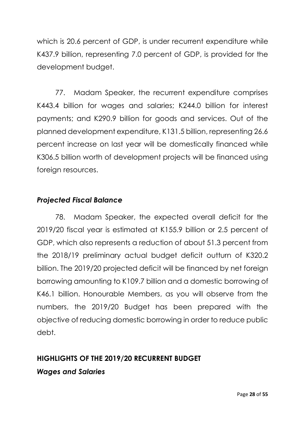which is 20.6 percent of GDP, is under recurrent expenditure while K437.9 billion, representing 7.0 percent of GDP, is provided for the development budget.

77. Madam Speaker, the recurrent expenditure comprises K443.4 billion for wages and salaries; K244.0 billion for interest payments; and K290.9 billion for goods and services. Out of the planned development expenditure, K131.5 billion, representing 26.6 percent increase on last year will be domestically financed while K306.5 billion worth of development projects will be financed using foreign resources.

# *Projected Fiscal Balance*

78. Madam Speaker, the expected overall deficit for the 2019/20 fiscal year is estimated at K155.9 billion or 2.5 percent of GDP, which also represents a reduction of about 51.3 percent from the 2018/19 preliminary actual budget deficit outturn of K320.2 billion. The 2019/20 projected deficit will be financed by net foreign borrowing amounting to K109.7 billion and a domestic borrowing of K46.1 billion. Honourable Members, as you will observe from the numbers, the 2019/20 Budget has been prepared with the objective of reducing domestic borrowing in order to reduce public debt.

## **HIGHLIGHTS OF THE 2019/20 RECURRENT BUDGET**

## *Wages and Salaries*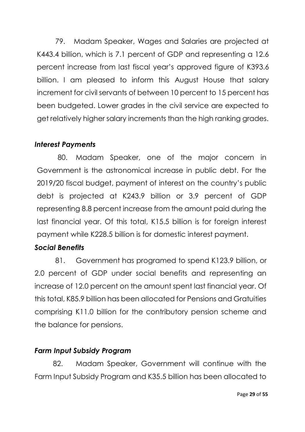79. Madam Speaker, Wages and Salaries are projected at K443.4 billion, which is 7.1 percent of GDP and representing a 12.6 percent increase from last fiscal year's approved figure of K393.6 billion. I am pleased to inform this August House that salary increment for civil servants of between 10 percent to 15 percent has been budgeted. Lower grades in the civil service are expected to get relatively higher salary increments than the high ranking grades.

# *Interest Payments*

80. Madam Speaker, one of the major concern in Government is the astronomical increase in public debt. For the 2019/20 fiscal budget, payment of interest on the country's public debt is projected at K243.9 billion or 3.9 percent of GDP representing 8.8 percent increase from the amount paid during the last financial year. Of this total, K15.5 billion is for foreign interest payment while K228.5 billion is for domestic interest payment.

# *Social Benefits*

81. Government has programed to spend K123.9 billion, or 2.0 percent of GDP under social benefits and representing an increase of 12.0 percent on the amount spent last financial year. Of this total, K85.9 billion has been allocated for Pensions and Gratuities comprising K11.0 billion for the contributory pension scheme and the balance for pensions.

# *Farm Input Subsidy Program*

82. Madam Speaker, Government will continue with the Farm Input Subsidy Program and K35.5 billion has been allocated to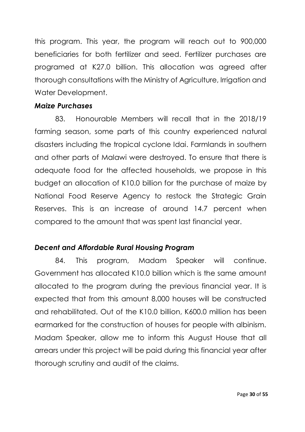this program. This year, the program will reach out to 900,000 beneficiaries for both fertilizer and seed. Fertilizer purchases are programed at K27.0 billion. This allocation was agreed after thorough consultations with the Ministry of Agriculture, Irrigation and Water Development.

#### *Maize Purchases*

83. Honourable Members will recall that in the 2018/19 farming season, some parts of this country experienced natural disasters including the tropical cyclone Idai. Farmlands in southern and other parts of Malawi were destroyed. To ensure that there is adequate food for the affected households, we propose in this budget an allocation of K10.0 billion for the purchase of maize by National Food Reserve Agency to restock the Strategic Grain Reserves. This is an increase of around 14.7 percent when compared to the amount that was spent last financial year.

# *Decent and Affordable Rural Housing Program*

84. This program, Madam Speaker will continue. Government has allocated K10.0 billion which is the same amount allocated to the program during the previous financial year. It is expected that from this amount 8,000 houses will be constructed and rehabilitated. Out of the K10.0 billion, K600.0 million has been earmarked for the construction of houses for people with albinism. Madam Speaker, allow me to inform this August House that all arrears under this project will be paid during this financial year after thorough scrutiny and audit of the claims.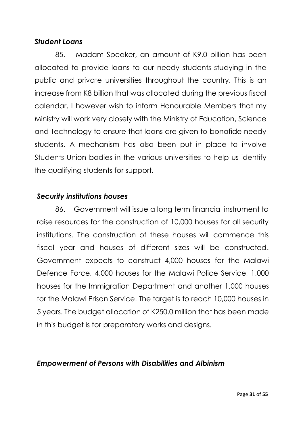## *Student Loans*

85. Madam Speaker, an amount of K9.0 billion has been allocated to provide loans to our needy students studying in the public and private universities throughout the country. This is an increase from K8 billion that was allocated during the previous fiscal calendar. I however wish to inform Honourable Members that my Ministry will work very closely with the Ministry of Education, Science and Technology to ensure that loans are given to bonafide needy students. A mechanism has also been put in place to involve Students Union bodies in the various universities to help us identify the qualifying students for support.

# *Security institutions houses*

86. Government will issue a long term financial instrument to raise resources for the construction of 10,000 houses for all security institutions. The construction of these houses will commence this fiscal year and houses of different sizes will be constructed. Government expects to construct 4,000 houses for the Malawi Defence Force, 4,000 houses for the Malawi Police Service, 1,000 houses for the Immigration Department and another 1,000 houses for the Malawi Prison Service. The target is to reach 10,000 houses in 5 years. The budget allocation of K250.0 million that has been made in this budget is for preparatory works and designs.

## *Empowerment of Persons with Disabilities and Albinism*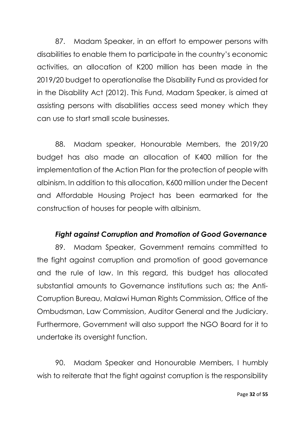87. Madam Speaker, in an effort to empower persons with disabilities to enable them to participate in the country's economic activities, an allocation of K200 million has been made in the 2019/20 budget to operationalise the Disability Fund as provided for in the Disability Act (2012). This Fund, Madam Speaker, is aimed at assisting persons with disabilities access seed money which they can use to start small scale businesses.

88. Madam speaker, Honourable Members, the 2019/20 budget has also made an allocation of K400 million for the implementation of the Action Plan for the protection of people with albinism. In addition to this allocation, K600 million under the Decent and Affordable Housing Project has been earmarked for the construction of houses for people with albinism.

# *Fight against Corruption and Promotion of Good Governance*

89. Madam Speaker, Government remains committed to the fight against corruption and promotion of good governance and the rule of law. In this regard, this budget has allocated substantial amounts to Governance institutions such as; the Anti-Corruption Bureau, Malawi Human Rights Commission, Office of the Ombudsman, Law Commission, Auditor General and the Judiciary. Furthermore, Government will also support the NGO Board for it to undertake its oversight function.

90. Madam Speaker and Honourable Members, I humbly wish to reiterate that the fight against corruption is the responsibility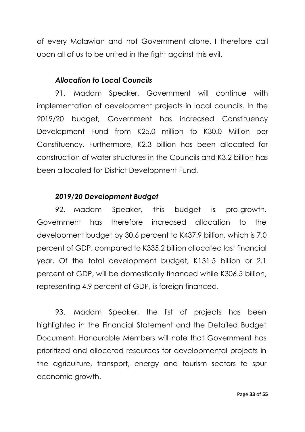of every Malawian and not Government alone. I therefore call upon all of us to be united in the fight against this evil.

## *Allocation to Local Councils*

91. Madam Speaker, Government will continue with implementation of development projects in local councils. In the 2019/20 budget, Government has increased Constituency Development Fund from K25.0 million to K30.0 Million per Constituency. Furthermore, K2.3 billion has been allocated for construction of water structures in the Councils and K3.2 billion has been allocated for District Development Fund.

## *2019/20 Development Budget*

92. Madam Speaker, this budget is pro-growth. Government has therefore increased allocation to the development budget by 30.6 percent to K437.9 billion, which is 7.0 percent of GDP, compared to K335.2 billion allocated last financial year. Of the total development budget, K131.5 billion or 2.1 percent of GDP, will be domestically financed while K306.5 billion, representing 4.9 percent of GDP, is foreign financed.

93. Madam Speaker, the list of projects has been highlighted in the Financial Statement and the Detailed Budget Document. Honourable Members will note that Government has prioritized and allocated resources for developmental projects in the agriculture, transport, energy and tourism sectors to spur economic growth.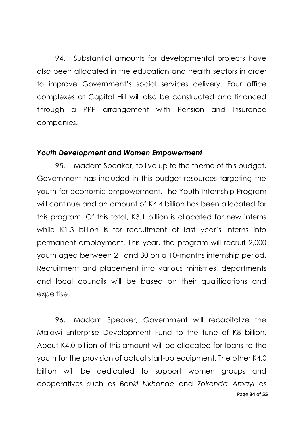94. Substantial amounts for developmental projects have also been allocated in the education and health sectors in order to improve Government's social services delivery. Four office complexes at Capital Hill will also be constructed and financed through a PPP arrangement with Pension and Insurance companies.

#### *Youth Development and Women Empowerment*

95. Madam Speaker, to live up to the theme of this budget, Government has included in this budget resources targeting the youth for economic empowerment. The Youth Internship Program will continue and an amount of K4.4 billion has been allocated for this program. Of this total, K3.1 billion is allocated for new interns while K1.3 billion is for recruitment of last year's interns into permanent employment. This year, the program will recruit 2,000 youth aged between 21 and 30 on a 10-months internship period. Recruitment and placement into various ministries, departments and local councils will be based on their qualifications and expertise.

Page **34** of **55** 96. Madam Speaker, Government will recapitalize the Malawi Enterprise Development Fund to the tune of K8 billion. About K4.0 billion of this amount will be allocated for loans to the youth for the provision of actual start-up equipment. The other K4.0 billion will be dedicated to support women groups and cooperatives such as *Banki Nkhonde* and *Zokonda Amayi* as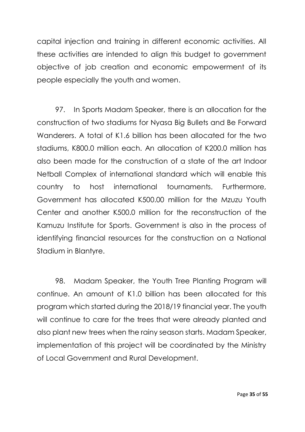capital injection and training in different economic activities. All these activities are intended to align this budget to government objective of job creation and economic empowerment of its people especially the youth and women.

97. In Sports Madam Speaker, there is an allocation for the construction of two stadiums for Nyasa Big Bullets and Be Forward Wanderers. A total of K1.6 billion has been allocated for the two stadiums, K800.0 million each. An allocation of K200.0 million has also been made for the construction of a state of the art Indoor Netball Complex of international standard which will enable this country to host international tournaments. Furthermore, Government has allocated K500.00 million for the Mzuzu Youth Center and another K500.0 million for the reconstruction of the Kamuzu Institute for Sports. Government is also in the process of identifying financial resources for the construction on a National Stadium in Blantyre.

98. Madam Speaker, the Youth Tree Planting Program will continue. An amount of K1.0 billion has been allocated for this program which started during the 2018/19 financial year. The youth will continue to care for the trees that were already planted and also plant new trees when the rainy season starts. Madam Speaker, implementation of this project will be coordinated by the Ministry of Local Government and Rural Development.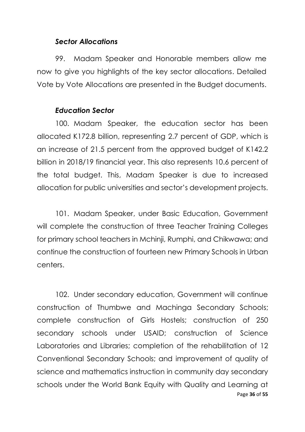#### *Sector Allocations*

99. Madam Speaker and Honorable members allow me now to give you highlights of the key sector allocations. Detailed Vote by Vote Allocations are presented in the Budget documents.

#### *Education Sector*

100. Madam Speaker, the education sector has been allocated K172.8 billion, representing 2.7 percent of GDP, which is an increase of 21.5 percent from the approved budget of K142.2 billion in 2018/19 financial year. This also represents 10.6 percent of the total budget. This, Madam Speaker is due to increased allocation for public universities and sector's development projects.

101. Madam Speaker, under Basic Education, Government will complete the construction of three Teacher Training Colleges for primary school teachers in Mchinji, Rumphi, and Chikwawa; and continue the construction of fourteen new Primary Schools in Urban centers.

Page **36** of **55** 102. Under secondary education, Government will continue construction of Thumbwe and Machinga Secondary Schools; complete construction of Girls Hostels; construction of 250 secondary schools under USAID; construction of Science Laboratories and Libraries; completion of the rehabilitation of 12 Conventional Secondary Schools; and improvement of quality of science and mathematics instruction in community day secondary schools under the World Bank Equity with Quality and Learning at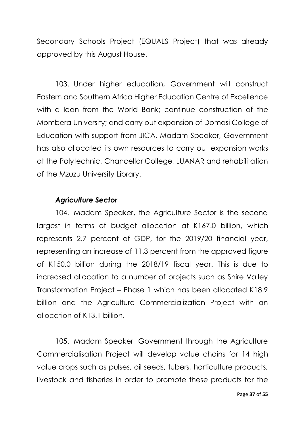Secondary Schools Project (EQUALS Project) that was already approved by this August House.

103. Under higher education, Government will construct Eastern and Southern Africa Higher Education Centre of Excellence with a loan from the World Bank; continue construction of the Mombera University; and carry out expansion of Domasi College of Education with support from JICA. Madam Speaker, Government has also allocated its own resources to carry out expansion works at the Polytechnic, Chancellor College, LUANAR and rehabilitation of the Mzuzu University Library.

#### *Agriculture Sector*

104. Madam Speaker, the Agriculture Sector is the second largest in terms of budget allocation at K167.0 billion, which represents 2.7 percent of GDP, for the 2019/20 financial year, representing an increase of 11.3 percent from the approved figure of K150.0 billion during the 2018/19 fiscal year. This is due to increased allocation to a number of projects such as Shire Valley Transformation Project – Phase 1 which has been allocated K18.9 billion and the Agriculture Commercialization Project with an allocation of K13.1 billion.

105. Madam Speaker, Government through the Agriculture Commercialisation Project will develop value chains for 14 high value crops such as pulses, oil seeds, tubers, horticulture products, livestock and fisheries in order to promote these products for the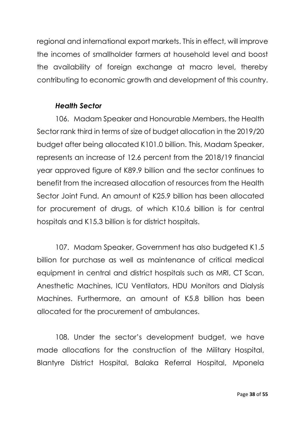regional and international export markets. This in effect, will improve the incomes of smallholder farmers at household level and boost the availability of foreign exchange at macro level, thereby contributing to economic growth and development of this country.

## *Health Sector*

106. Madam Speaker and Honourable Members, the Health Sector rank third in terms of size of budget allocation in the 2019/20 budget after being allocated K101.0 billion. This, Madam Speaker, represents an increase of 12.6 percent from the 2018/19 financial year approved figure of K89.9 billion and the sector continues to benefit from the increased allocation of resources from the Health Sector Joint Fund. An amount of K25.9 billion has been allocated for procurement of drugs, of which K10.6 billion is for central hospitals and K15.3 billion is for district hospitals.

107. Madam Speaker, Government has also budgeted K1.5 billion for purchase as well as maintenance of critical medical equipment in central and district hospitals such as MRI, CT Scan, Anesthetic Machines, ICU Ventilators, HDU Monitors and Dialysis Machines. Furthermore, an amount of K5.8 billion has been allocated for the procurement of ambulances.

108. Under the sector's development budget, we have made allocations for the construction of the Military Hospital, Blantyre District Hospital, Balaka Referral Hospital, Mponela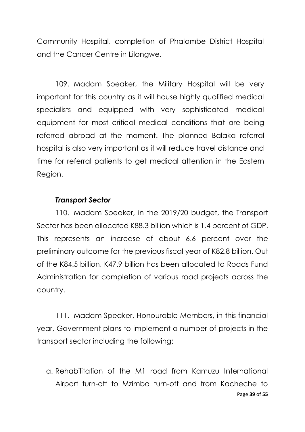Community Hospital, completion of Phalombe District Hospital and the Cancer Centre in Lilongwe.

109. Madam Speaker, the Military Hospital will be very important for this country as it will house highly qualified medical specialists and equipped with very sophisticated medical equipment for most critical medical conditions that are being referred abroad at the moment. The planned Balaka referral hospital is also very important as it will reduce travel distance and time for referral patients to get medical attention in the Eastern Region.

#### *Transport Sector*

110. Madam Speaker, in the 2019/20 budget, the Transport Sector has been allocated K88.3 billion which is 1.4 percent of GDP. This represents an increase of about 6.6 percent over the preliminary outcome for the previous fiscal year of K82.8 billion. Out of the K84.5 billion, K47.9 billion has been allocated to Roads Fund Administration for completion of various road projects across the country.

111. Madam Speaker, Honourable Members, in this financial year, Government plans to implement a number of projects in the transport sector including the following:

Page **39** of **55** a. Rehabilitation of the M1 road from Kamuzu International Airport turn-off to Mzimba turn-off and from Kacheche to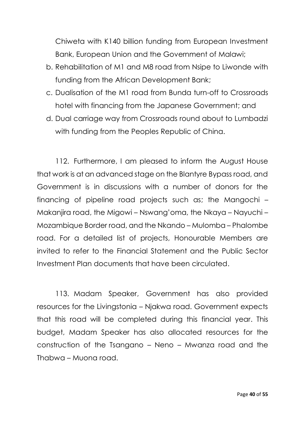Chiweta with K140 billion funding from European Investment Bank, European Union and the Government of Malawi;

- b. Rehabilitation of M1 and M8 road from Nsipe to Liwonde with funding from the African Development Bank;
- c. Dualisation of the M1 road from Bunda turn-off to Crossroads hotel with financing from the Japanese Government; and
- d. Dual carriage way from Crossroads round about to Lumbadzi with funding from the Peoples Republic of China.

112. Furthermore, I am pleased to inform the August House that work is at an advanced stage on the Blantyre Bypass road, and Government is in discussions with a number of donors for the financing of pipeline road projects such as; the Mangochi – Makanjira road, the Migowi – Nswang'oma, the Nkaya – Nayuchi – Mozambique Border road, and the Nkando – Mulomba – Phalombe road. For a detailed list of projects, Honourable Members are invited to refer to the Financial Statement and the Public Sector Investment Plan documents that have been circulated.

113. Madam Speaker, Government has also provided resources for the Livingstonia – Njakwa road. Government expects that this road will be completed during this financial year. This budget, Madam Speaker has also allocated resources for the construction of the Tsangano – Neno – Mwanza road and the Thabwa – Muona road.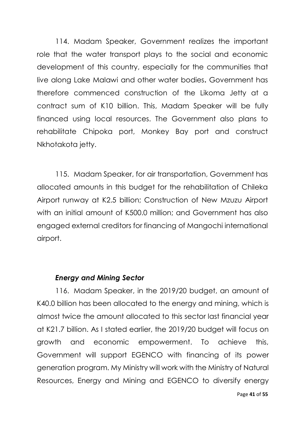114. Madam Speaker, Government realizes the important role that the water transport plays to the social and economic development of this country, especially for the communities that live along Lake Malawi and other water bodies**.** Government has therefore commenced construction of the Likoma Jetty at a contract sum of K10 billion. This, Madam Speaker will be fully financed using local resources. The Government also plans to rehabilitate Chipoka port, Monkey Bay port and construct Nkhotakota jetty.

115. Madam Speaker, for air transportation, Government has allocated amounts in this budget for the rehabilitation of Chileka Airport runway at K2.5 billion; Construction of New Mzuzu Airport with an initial amount of K500.0 million; and Government has also engaged external creditors for financing of Mangochi international airport.

## *Energy and Mining Sector*

116. Madam Speaker, in the 2019/20 budget, an amount of K40.0 billion has been allocated to the energy and mining, which is almost twice the amount allocated to this sector last financial year at K21.7 billion. As I stated earlier, the 2019/20 budget will focus on growth and economic empowerment. To achieve this, Government will support EGENCO with financing of its power generation program. My Ministry will work with the Ministry of Natural Resources, Energy and Mining and EGENCO to diversify energy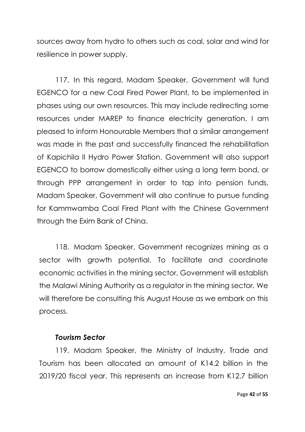sources away from hydro to others such as coal, solar and wind for resilience in power supply.

117. In this regard, Madam Speaker, Government will fund EGENCO for a new Coal Fired Power Plant, to be implemented in phases using our own resources. This may include redirecting some resources under MAREP to finance electricity generation. I am pleased to inform Honourable Members that a similar arrangement was made in the past and successfully financed the rehabilitation of Kapichila II Hydro Power Station. Government will also support EGENCO to borrow domestically either using a long term bond, or through PPP arrangement in order to tap into pension funds. Madam Speaker, Government will also continue to pursue funding for Kammwamba Coal Fired Plant with the Chinese Government through the Exim Bank of China.

118. Madam Speaker, Government recognizes mining as a sector with growth potential. To facilitate and coordinate economic activities in the mining sector, Government will establish the Malawi Mining Authority as a regulator in the mining sector. We will therefore be consulting this August House as we embark on this process.

#### *Tourism Sector*

119. Madam Speaker, the Ministry of Industry, Trade and Tourism has been allocated an amount of K14.2 billion in the 2019/20 fiscal year. This represents an increase from K12.7 billion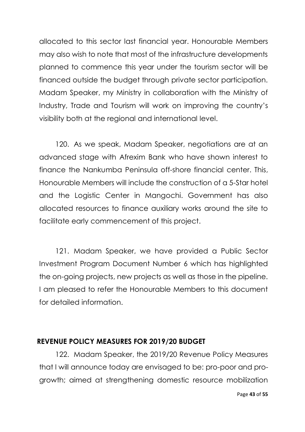allocated to this sector last financial year. Honourable Members may also wish to note that most of the infrastructure developments planned to commence this year under the tourism sector will be financed outside the budget through private sector participation. Madam Speaker, my Ministry in collaboration with the Ministry of Industry, Trade and Tourism will work on improving the country's visibility both at the regional and international level.

120. As we speak, Madam Speaker, negotiations are at an advanced stage with Afrexim Bank who have shown interest to finance the Nankumba Peninsula off-shore financial center. This, Honourable Members will include the construction of a 5-Star hotel and the Logistic Center in Mangochi. Government has also allocated resources to finance auxiliary works around the site to facilitate early commencement of this project.

121. Madam Speaker, we have provided a Public Sector Investment Program Document Number 6 which has highlighted the on-going projects, new projects as well as those in the pipeline. I am pleased to refer the Honourable Members to this document for detailed information.

#### **REVENUE POLICY MEASURES FOR 2019/20 BUDGET**

122. Madam Speaker, the 2019/20 Revenue Policy Measures that I will announce today are envisaged to be: pro-poor and progrowth; aimed at strengthening domestic resource mobilization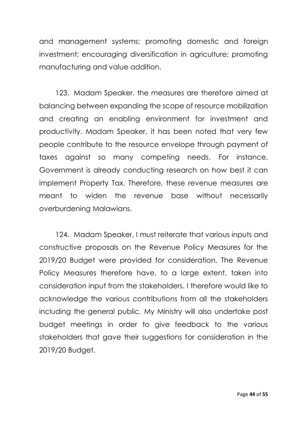and management systems; promoting domestic and foreign investment; encouraging diversification in agriculture; promoting manufacturing and value addition.

123. Madam Speaker, the measures are therefore aimed at balancing between expanding the scope of resource mobilization and creating an enabling environment for investment and productivity. Madam Speaker, it has been noted that very few people contribute to the resource envelope through payment of taxes against so many competing needs. For instance, Government is already conducting research on how best it can implement Property Tax. Therefore, these revenue measures are meant to widen the revenue base without necessarily overburdening Malawians.

124. Madam Speaker, I must reiterate that various inputs and constructive proposals on the Revenue Policy Measures for the 2019/20 Budget were provided for consideration. The Revenue Policy Measures therefore have, to a large extent, taken into consideration input from the stakeholders. I therefore would like to acknowledge the various contributions from all the stakeholders including the general public. My Ministry will also undertake post budget meetings in order to give feedback to the various stakeholders that gave their suggestions for consideration in the 2019/20 Budget.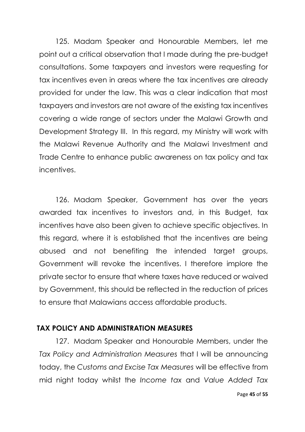125. Madam Speaker and Honourable Members, let me point out a critical observation that I made during the pre-budget consultations. Some taxpayers and investors were requesting for tax incentives even in areas where the tax incentives are already provided for under the law. This was a clear indication that most taxpayers and investors are not aware of the existing tax incentives covering a wide range of sectors under the Malawi Growth and Development Strategy III. In this regard, my Ministry will work with the Malawi Revenue Authority and the Malawi Investment and Trade Centre to enhance public awareness on tax policy and tax incentives.

126. Madam Speaker, Government has over the years awarded tax incentives to investors and, in this Budget, tax incentives have also been given to achieve specific objectives. In this regard, where it is established that the incentives are being abused and not benefiting the intended target groups, Government will revoke the incentives. I therefore implore the private sector to ensure that where taxes have reduced or waived by Government, this should be reflected in the reduction of prices to ensure that Malawians access affordable products.

## **TAX POLICY AND ADMINISTRATION MEASURES**

127. Madam Speaker and Honourable Members, under the *Tax Policy and Administration Measures* that I will be announcing today, the *Customs and Excise Tax Measures* will be effective from mid night today whilst the *Income tax* and *Value Added Tax*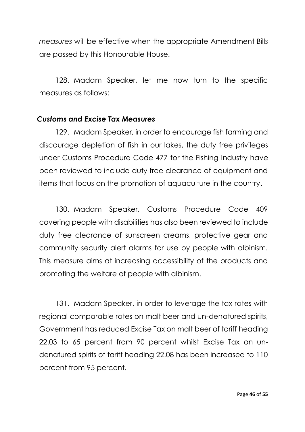*measures* will be effective when the appropriate Amendment Bills are passed by this Honourable House.

128. Madam Speaker, let me now turn to the specific measures as follows:

#### *Customs and Excise Tax Measures*

129. Madam Speaker, in order to encourage fish farming and discourage depletion of fish in our lakes, the duty free privileges under Customs Procedure Code 477 for the Fishing Industry have been reviewed to include duty free clearance of equipment and items that focus on the promotion of aquaculture in the country.

130. Madam Speaker, Customs Procedure Code 409 covering people with disabilities has also been reviewed to include duty free clearance of sunscreen creams, protective gear and community security alert alarms for use by people with albinism. This measure aims at increasing accessibility of the products and promoting the welfare of people with albinism.

131. Madam Speaker, in order to leverage the tax rates with regional comparable rates on malt beer and un-denatured spirits, Government has reduced Excise Tax on malt beer of tariff heading 22.03 to 65 percent from 90 percent whilst Excise Tax on undenatured spirits of tariff heading 22.08 has been increased to 110 percent from 95 percent.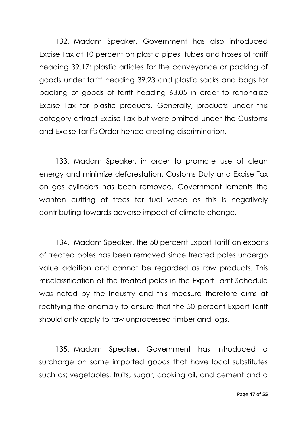132. Madam Speaker, Government has also introduced Excise Tax at 10 percent on plastic pipes, tubes and hoses of tariff heading 39.17; plastic articles for the conveyance or packing of goods under tariff heading 39.23 and plastic sacks and bags for packing of goods of tariff heading 63.05 in order to rationalize Excise Tax for plastic products. Generally, products under this category attract Excise Tax but were omitted under the Customs and Excise Tariffs Order hence creating discrimination.

133. Madam Speaker, in order to promote use of clean energy and minimize deforestation, Customs Duty and Excise Tax on gas cylinders has been removed. Government laments the wanton cutting of trees for fuel wood as this is negatively contributing towards adverse impact of climate change.

134. Madam Speaker, the 50 percent Export Tariff on exports of treated poles has been removed since treated poles undergo value addition and cannot be regarded as raw products. This misclassification of the treated poles in the Export Tariff Schedule was noted by the Industry and this measure therefore aims at rectifying the anomaly to ensure that the 50 percent Export Tariff should only apply to raw unprocessed timber and logs.

135. Madam Speaker, Government has introduced a surcharge on some imported goods that have local substitutes such as; vegetables, fruits, sugar, cooking oil, and cement and a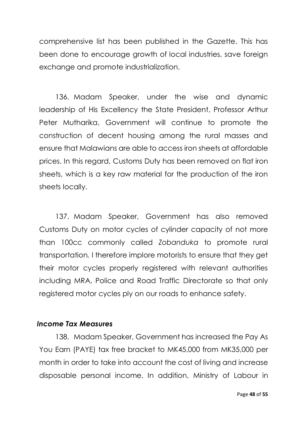comprehensive list has been published in the Gazette. This has been done to encourage growth of local industries, save foreign exchange and promote industrialization.

136. Madam Speaker, under the wise and dynamic leadership of His Excellency the State President, Professor Arthur Peter Mutharika, Government will continue to promote the construction of decent housing among the rural masses and ensure that Malawians are able to access iron sheets at affordable prices. In this regard, Customs Duty has been removed on flat iron sheets, which is a key raw material for the production of the iron sheets locally.

137. Madam Speaker, Government has also removed Customs Duty on motor cycles of cylinder capacity of not more than 100cc commonly called *Zobanduka* to promote rural transportation*.* I therefore implore motorists to ensure that they get their motor cycles properly registered with relevant authorities including MRA, Police and Road Traffic Directorate so that only registered motor cycles ply on our roads to enhance safety.

## *Income Tax Measures*

138. Madam Speaker, Government has increased the Pay As You Earn (PAYE) tax free bracket to MK45,000 from MK35,000 per month in order to take into account the cost of living and increase disposable personal income. In addition, Ministry of Labour in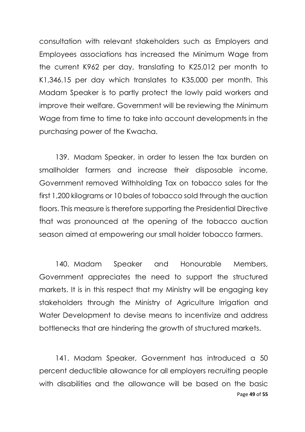consultation with relevant stakeholders such as Employers and Employees associations has increased the Minimum Wage from the current K962 per day, translating to K25,012 per month to K1,346.15 per day which translates to K35,000 per month. This Madam Speaker is to partly protect the lowly paid workers and improve their welfare. Government will be reviewing the Minimum Wage from time to time to take into account developments in the purchasing power of the Kwacha.

139. Madam Speaker, in order to lessen the tax burden on smallholder farmers and increase their disposable income, Government removed Withholding Tax on tobacco sales for the first 1,200 kilograms or 10 bales of tobacco sold through the auction floors. This measure is therefore supporting the Presidential Directive that was pronounced at the opening of the tobacco auction season aimed at empowering our small holder tobacco farmers.

140. Madam Speaker and Honourable Members, Government appreciates the need to support the structured markets. It is in this respect that my Ministry will be engaging key stakeholders through the Ministry of Agriculture Irrigation and Water Development to devise means to incentivize and address bottlenecks that are hindering the growth of structured markets.

Page **49** of **55** 141. Madam Speaker, Government has introduced a 50 percent deductible allowance for all employers recruiting people with disabilities and the allowance will be based on the basic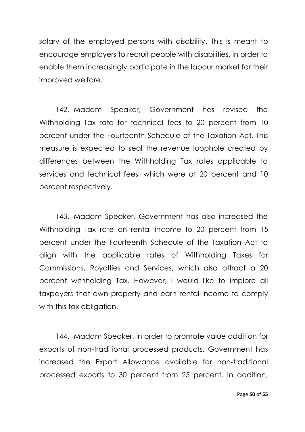salary of the employed persons with disability. This is meant to encourage employers to recruit people with disabilities, in order to enable them increasingly participate in the labour market for their improved welfare.

142. Madam Speaker, Government has revised the Withholding Tax rate for technical fees to 20 percent from 10 percent under the Fourteenth Schedule of the Taxation Act. This measure is expected to seal the revenue loophole created by differences between the Withholding Tax rates applicable to services and technical fees, which were at 20 percent and 10 percent respectively.

143. Madam Speaker, Government has also increased the Withholding Tax rate on rental income to 20 percent from 15 percent under the Fourteenth Schedule of the Taxation Act to align with the applicable rates of Withholding Taxes for Commissions, Royalties and Services, which also attract a 20 percent withholding Tax. However, I would like to implore all taxpayers that own property and earn rental income to comply with this tax obligation.

144. Madam Speaker, in order to promote value addition for exports of non-traditional processed products, Government has increased the Export Allowance available for non-traditional processed exports to 30 percent from 25 percent. In addition,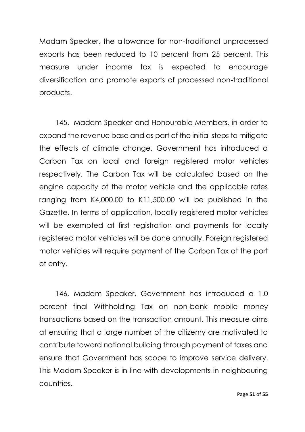Madam Speaker, the allowance for non-traditional unprocessed exports has been reduced to 10 percent from 25 percent. This measure under income tax is expected to encourage diversification and promote exports of processed non-traditional products.

145. Madam Speaker and Honourable Members, in order to expand the revenue base and as part of the initial steps to mitigate the effects of climate change, Government has introduced a Carbon Tax on local and foreign registered motor vehicles respectively. The Carbon Tax will be calculated based on the engine capacity of the motor vehicle and the applicable rates ranging from K4,000.00 to K11,500.00 will be published in the Gazette. In terms of application, locally registered motor vehicles will be exempted at first registration and payments for locally registered motor vehicles will be done annually. Foreign registered motor vehicles will require payment of the Carbon Tax at the port of entry.

146. Madam Speaker, Government has introduced a 1.0 percent final Withholding Tax on non-bank mobile money transactions based on the transaction amount. This measure aims at ensuring that a large number of the citizenry are motivated to contribute toward national building through payment of taxes and ensure that Government has scope to improve service delivery. This Madam Speaker is in line with developments in neighbouring countries.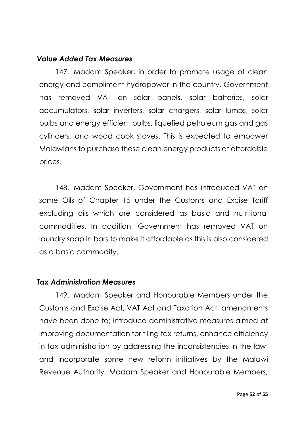#### *Value Added Tax Measures*

147. Madam Speaker, in order to promote usage of clean energy and compliment hydropower in the country, Government has removed VAT on solar panels, solar batteries, solar accumulators, solar inverters, solar chargers, solar lumps, solar bulbs and energy efficient bulbs, liquefied petroleum gas and gas cylinders, and wood cook stoves. This is expected to empower Malawians to purchase these clean energy products at affordable prices.

148. Madam Speaker, Government has introduced VAT on some Oils of Chapter 15 under the Customs and Excise Tariff excluding oils which are considered as basic and nutritional commodities. In addition, Government has removed VAT on laundry soap in bars to make it affordable as this is also considered as a basic commodity.

## *Tax Administration Measures*

149. Madam Speaker and Honourable Members under the Customs and Excise Act, VAT Act and Taxation Act, amendments have been done to; introduce administrative measures aimed at improving documentation for filing tax returns, enhance efficiency in tax administration by addressing the inconsistencies in the law, and incorporate some new reform initiatives by the Malawi Revenue Authority. Madam Speaker and Honourable Members,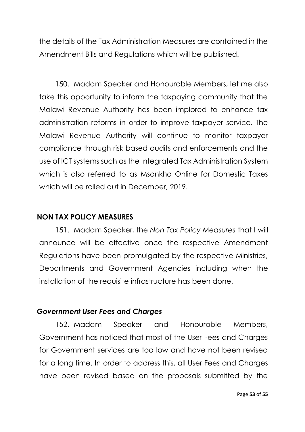the details of the Tax Administration Measures are contained in the Amendment Bills and Regulations which will be published.

150. Madam Speaker and Honourable Members, let me also take this opportunity to inform the taxpaying community that the Malawi Revenue Authority has been implored to enhance tax administration reforms in order to improve taxpayer service. The Malawi Revenue Authority will continue to monitor taxpayer compliance through risk based audits and enforcements and the use of ICT systems such as the Integrated Tax Administration System which is also referred to as Msonkho Online for Domestic Taxes which will be rolled out in December, 2019.

## **NON TAX POLICY MEASURES**

151. Madam Speaker, the *Non Tax Policy Measures* that I will announce will be effective once the respective Amendment Regulations have been promulgated by the respective Ministries, Departments and Government Agencies including when the installation of the requisite infrastructure has been done.

#### *Government User Fees and Charges*

152. Madam Speaker and Honourable Members, Government has noticed that most of the User Fees and Charges for Government services are too low and have not been revised for a long time. In order to address this, all User Fees and Charges have been revised based on the proposals submitted by the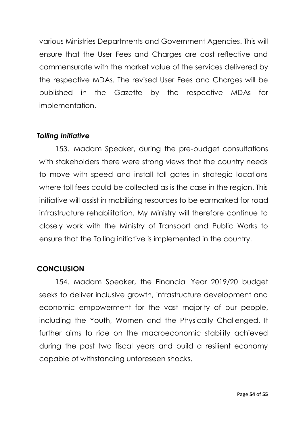various Ministries Departments and Government Agencies. This will ensure that the User Fees and Charges are cost reflective and commensurate with the market value of the services delivered by the respective MDAs. The revised User Fees and Charges will be published in the Gazette by the respective MDAs for implementation.

## *Tolling Initiative*

153. Madam Speaker, during the pre-budget consultations with stakeholders there were strong views that the country needs to move with speed and install toll gates in strategic locations where toll fees could be collected as is the case in the region. This initiative will assist in mobilizing resources to be earmarked for road infrastructure rehabilitation. My Ministry will therefore continue to closely work with the Ministry of Transport and Public Works to ensure that the Tolling initiative is implemented in the country.

# **CONCLUSION**

154. Madam Speaker, the Financial Year 2019/20 budget seeks to deliver inclusive growth, infrastructure development and economic empowerment for the vast majority of our people, including the Youth, Women and the Physically Challenged. It further aims to ride on the macroeconomic stability achieved during the past two fiscal years and build a resilient economy capable of withstanding unforeseen shocks.